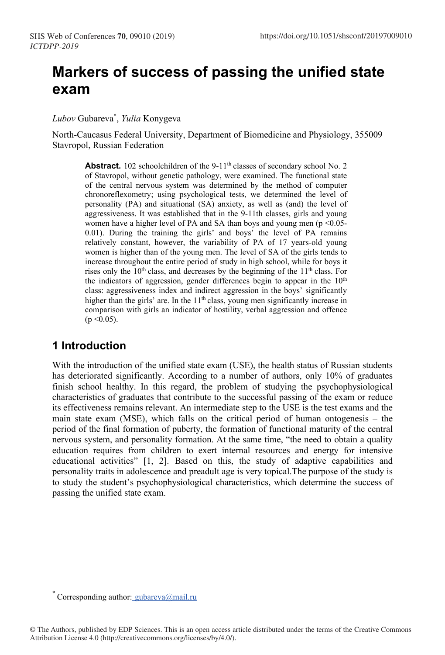# **Markers of success of passing the unified state exam**

*Lubov* Gubareva\* , *Yulia* Konygeva

North-Caucasus Federal University, Department of Biomedicine and Physiology, 355009 Stavropol, Russian Federation

Abstract. 102 schoolchildren of the 9-11<sup>th</sup> classes of secondary school No. 2 of Stavropol, without genetic pathology, were examined. The functional state of the central nervous system was determined by the method of computer chronoreflexometry; using psychological tests, we determined the level of personality (PA) and situational (SA) anxiety, as well as (and) the level of aggressiveness. It was established that in the 9-11th classes, girls and young women have a higher level of PA and SA than boys and young men ( $p \le 0.05$ -0.01). During the training the girls' and boys' the level of PA remains relatively constant, however, the variability of PA of 17 years-old young women is higher than of the young men. The level of SA of the girls tends to increase throughout the entire period of study in high school, while for boys it rises only the 10<sup>th</sup> class, and decreases by the beginning of the 11<sup>th</sup> class. For the indicators of aggression, gender differences begin to appear in the 10<sup>th</sup> class: aggressiveness index and indirect aggression in the boys' significantly higher than the girls' are. In the 11<sup>th</sup> class, young men significantly increase in comparison with girls an indicator of hostility, verbal aggression and offence  $(p \le 0.05)$ .

### **1 Introduction**

With the introduction of the unified state exam (USE), the health status of Russian students has deteriorated significantly. According to a number of authors, only 10% of graduates finish school healthy. In this regard, the problem of studying the psychophysiological characteristics of graduates that contribute to the successful passing of the exam or reduce its effectiveness remains relevant. An intermediate step to the USE is the test exams and the main state exam (MSE), which falls on the critical period of human ontogenesis – the period of the final formation of puberty, the formation of functional maturity of the central nervous system, and personality formation. At the same time, "the need to obtain a quality education requires from children to exert internal resources and energy for intensive educational activities" [1, 2]. Based on this, the study of adaptive capabilities and personality traits in adolescence and preadult age is very topical.The purpose of the study is to study the student's psychophysiological characteristics, which determine the success of passing the unified state exam.

<sup>\*</sup> Corresponding author: [gubareva@mail.ru](mailto:%20gubareva@mail.ru)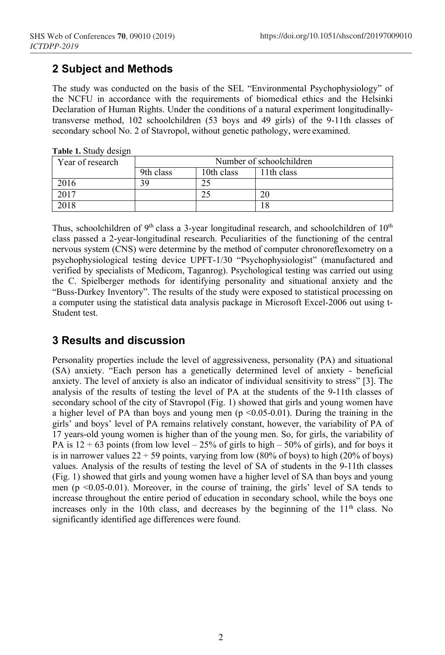## **2 Subject and Methods**

The study was conducted on the basis of the SEL "Environmental Psychophysiology" of the NCFU in accordance with the requirements of biomedical ethics and the Helsinki Declaration of Human Rights. Under the conditions of a natural experiment longitudinallytransverse method, 102 schoolchildren (53 boys and 49 girls) of the 9-11th classes of secondary school No. 2 of Stavropol, without genetic pathology, were examined.

| Year of research | Number of schoolchildren |            |            |  |  |  |  |  |  |
|------------------|--------------------------|------------|------------|--|--|--|--|--|--|
|                  | 9th class                | 10th class | 11th class |  |  |  |  |  |  |
| 2016             |                          |            |            |  |  |  |  |  |  |
| 2017             |                          |            | 20         |  |  |  |  |  |  |
| 2018             |                          |            |            |  |  |  |  |  |  |

| Table 1. Study design |  |
|-----------------------|--|
|-----------------------|--|

Thus, schoolchildren of  $9<sup>th</sup>$  class a 3-year longitudinal research, and schoolchildren of  $10<sup>th</sup>$ class passed a 2-year-longitudinal research. Peculiarities of the functioning of the central nervous system (CNS) were determine by the method of computer chronoreflexometry on a psychophysiological testing device UPFT-1/30 "Psychophysiologist" (manufactured and verified by specialists of Medicom, Taganrog). Psychological testing was carried out using the C. Spielberger methods for identifying personality and situational anxiety and the "Buss-Durkey Inventory". The results of the study were exposed to statistical processing on a computer using the statistical data analysis package in Microsoft Excel-2006 out using t-Student test.

## **3 Results and discussion**

Personality properties include the level of aggressiveness, personality (PA) and situational (SA) anxiety. "Each person has a genetically determined level of anxiety - beneficial anxiety. The level of anxiety is also an indicator of individual sensitivity to stress" [3]. The analysis of the results of testing the level of PA at the students of the 9-11th classes of secondary school of the city of Stavropol (Fig. 1) showed that girls and young women have a higher level of PA than boys and young men  $(p \le 0.05-0.01)$ . During the training in the girls' and boys' level of PA remains relatively constant, however, the variability of PA of 17 years-old young women is higher than of the young men. So, for girls, the variability of PA is  $12 \div 63$  points (from low level – 25% of girls to high – 50% of girls), and for boys it is in narrower values  $22 \div 59$  points, varying from low (80% of boys) to high (20% of boys) values. Analysis of the results of testing the level of SA of students in the 9-11th classes (Fig. 1) showed that girls and young women have a higher level of SA than boys and young men ( $p \le 0.05-0.01$ ). Moreover, in the course of training, the girls' level of SA tends to increase throughout the entire period of education in secondary school, while the boys one increases only in the 10th class, and decreases by the beginning of the  $11<sup>th</sup>$  class. No significantly identified age differences were found.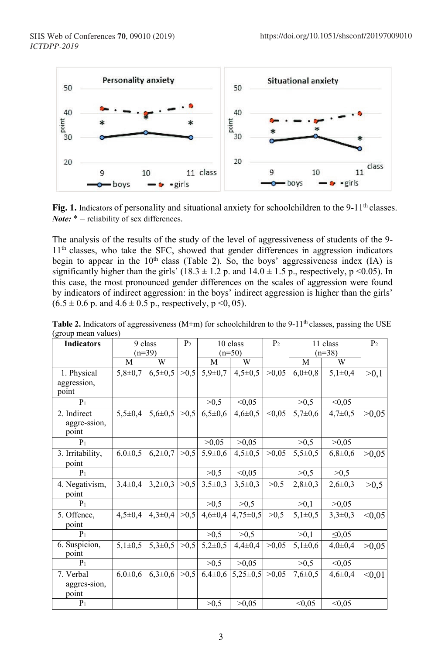

Fig. 1. Indicators of personality and situational anxiety for schoolchildren to the 9-11<sup>th</sup> classes. *Note*: \* – reliability of sex differences.

The analysis of the results of the study of the level of aggressiveness of students of the 9- 11<sup>th</sup> classes, who take the SFC, showed that gender differences in aggression indicators begin to appear in the  $10<sup>th</sup>$  class (Table 2). So, the boys' aggressiveness index (IA) is significantly higher than the girls' (18.3  $\pm$  1.2 p. and 14.0  $\pm$  1.5 p., respectively, p <0.05). In this case, the most pronounced gender differences on the scales of aggression were found by indicators of indirect aggression: in the boys' indirect aggression is higher than the girls'  $(6.5 \pm 0.6 \text{ p. and } 4.6 \pm 0.5 \text{ p., respectively, } p \le 0.05$ ).

| $(n=39)$<br>$(n=50)$<br>$(n=38)$<br>W<br>W<br>M<br>M<br>W<br>M<br>1. Physical<br>>0,5<br>>0,05<br>$5,8 \pm 0,7$<br>$6,5\pm0,5$<br>$5,9 \pm 0.7$<br>$4,5 \pm 0.5$<br>$6,0{\pm}0.8$<br>$5,1\pm0,4$<br>>0,1<br>aggression,<br>point<br>>0,5<br>< 0.05<br>>0,5<br>< 0.05<br>$P_1$<br>< 0.05<br>2. Indirect<br>$5,5 \pm 0,4$<br>>0,5<br>$5,6 \pm 0.5$<br>$6,5 \pm 0.6$<br>$5,7 \pm 0,6$<br>$4,6 \pm 0.5$<br>$4,7 \pm 0.5$<br>>0,05<br>aggre-ssion,<br>point<br>>0.05<br>>0,05<br>>0,5<br>>0,05<br>$P_1$<br>3. Irritability,<br>$6,0{\pm}0,5$<br>$6,2{\pm}0,7$<br>>0,5<br>>0,05<br>$5,9 \pm 0,6$<br>$4,5\pm0,5$<br>$5,5\pm0.5$<br>$6,8{\pm}0,6$<br>>0,05<br>point<br>< 0, 05<br>$P_1$<br>>0,5<br>>0,5<br>>0,5<br>4. Negativism,<br>$3,4\pm0,4$<br>$3,2\pm0,3$<br>>0,5<br>>0,5<br>$3,5+0,3$<br>$3,5\pm0,3$<br>$2,8+0,3$<br>$2,6 \pm 0,3$<br>>0,5<br>point<br>>0,5<br>>0,5<br>>0,1<br>>0,05<br>P <sub>1</sub><br>>0,5<br>>0,5<br>5. Offence,<br>$4,5 \pm 0,4$<br>$4,3 \pm 0,4$<br>$4,6 \pm 0,4$<br>$4,75 \pm 0.5$<br>$5,1\pm0,5$<br>$3,3\pm0,3$<br>< 0.05<br>point<br>>0,5<br>>0,5<br>>0,1<br>$\leq 0.05$<br>$P_1$<br>$5,3 \pm 0.5$<br>6. Suspicion,<br>$5,1\pm0.5$<br>>0.5<br>$5,2\pm0,5$<br>>0.05<br>$5,1\pm0,6$<br>$4.4 \pm 0.4$<br>$4.0 \pm 0.4$<br>>0,05<br>point<br>>0,5<br>>0,5<br>>0.05<br>< 0.05<br>$P_1$<br>$6,3 \pm 0.6$<br>$6,0{\pm}0.6$<br>>0.5<br>$5,25\pm0.5$<br>7. Verbal<br>$6,4\pm0,6$<br>>0.05<br>$7,6 \pm 0.5$<br>$4,6 \pm 0,4$<br>< 0.01<br>aggres-sion,<br>point | <b>Indicators</b> | 9 class |  | P <sub>2</sub> | 10 class |       | P <sub>2</sub> | 11 class |        | P <sub>2</sub> |
|--------------------------------------------------------------------------------------------------------------------------------------------------------------------------------------------------------------------------------------------------------------------------------------------------------------------------------------------------------------------------------------------------------------------------------------------------------------------------------------------------------------------------------------------------------------------------------------------------------------------------------------------------------------------------------------------------------------------------------------------------------------------------------------------------------------------------------------------------------------------------------------------------------------------------------------------------------------------------------------------------------------------------------------------------------------------------------------------------------------------------------------------------------------------------------------------------------------------------------------------------------------------------------------------------------------------------------------------------------------------------------------------------------------------------------------------------------------------------------|-------------------|---------|--|----------------|----------|-------|----------------|----------|--------|----------------|
|                                                                                                                                                                                                                                                                                                                                                                                                                                                                                                                                                                                                                                                                                                                                                                                                                                                                                                                                                                                                                                                                                                                                                                                                                                                                                                                                                                                                                                                                                |                   |         |  |                |          |       |                |          |        |                |
|                                                                                                                                                                                                                                                                                                                                                                                                                                                                                                                                                                                                                                                                                                                                                                                                                                                                                                                                                                                                                                                                                                                                                                                                                                                                                                                                                                                                                                                                                |                   |         |  |                |          |       |                |          |        |                |
|                                                                                                                                                                                                                                                                                                                                                                                                                                                                                                                                                                                                                                                                                                                                                                                                                                                                                                                                                                                                                                                                                                                                                                                                                                                                                                                                                                                                                                                                                |                   |         |  |                |          |       |                |          |        |                |
|                                                                                                                                                                                                                                                                                                                                                                                                                                                                                                                                                                                                                                                                                                                                                                                                                                                                                                                                                                                                                                                                                                                                                                                                                                                                                                                                                                                                                                                                                |                   |         |  |                |          |       |                |          |        |                |
|                                                                                                                                                                                                                                                                                                                                                                                                                                                                                                                                                                                                                                                                                                                                                                                                                                                                                                                                                                                                                                                                                                                                                                                                                                                                                                                                                                                                                                                                                |                   |         |  |                |          |       |                |          |        |                |
|                                                                                                                                                                                                                                                                                                                                                                                                                                                                                                                                                                                                                                                                                                                                                                                                                                                                                                                                                                                                                                                                                                                                                                                                                                                                                                                                                                                                                                                                                |                   |         |  |                |          |       |                |          |        |                |
|                                                                                                                                                                                                                                                                                                                                                                                                                                                                                                                                                                                                                                                                                                                                                                                                                                                                                                                                                                                                                                                                                                                                                                                                                                                                                                                                                                                                                                                                                |                   |         |  |                |          |       |                |          |        |                |
|                                                                                                                                                                                                                                                                                                                                                                                                                                                                                                                                                                                                                                                                                                                                                                                                                                                                                                                                                                                                                                                                                                                                                                                                                                                                                                                                                                                                                                                                                |                   |         |  |                |          |       |                |          |        |                |
|                                                                                                                                                                                                                                                                                                                                                                                                                                                                                                                                                                                                                                                                                                                                                                                                                                                                                                                                                                                                                                                                                                                                                                                                                                                                                                                                                                                                                                                                                |                   |         |  |                |          |       |                |          |        |                |
|                                                                                                                                                                                                                                                                                                                                                                                                                                                                                                                                                                                                                                                                                                                                                                                                                                                                                                                                                                                                                                                                                                                                                                                                                                                                                                                                                                                                                                                                                |                   |         |  |                |          |       |                |          |        |                |
|                                                                                                                                                                                                                                                                                                                                                                                                                                                                                                                                                                                                                                                                                                                                                                                                                                                                                                                                                                                                                                                                                                                                                                                                                                                                                                                                                                                                                                                                                |                   |         |  |                |          |       |                |          |        |                |
|                                                                                                                                                                                                                                                                                                                                                                                                                                                                                                                                                                                                                                                                                                                                                                                                                                                                                                                                                                                                                                                                                                                                                                                                                                                                                                                                                                                                                                                                                |                   |         |  |                |          |       |                |          |        |                |
|                                                                                                                                                                                                                                                                                                                                                                                                                                                                                                                                                                                                                                                                                                                                                                                                                                                                                                                                                                                                                                                                                                                                                                                                                                                                                                                                                                                                                                                                                |                   |         |  |                |          |       |                |          |        |                |
|                                                                                                                                                                                                                                                                                                                                                                                                                                                                                                                                                                                                                                                                                                                                                                                                                                                                                                                                                                                                                                                                                                                                                                                                                                                                                                                                                                                                                                                                                |                   |         |  |                |          |       |                |          |        |                |
|                                                                                                                                                                                                                                                                                                                                                                                                                                                                                                                                                                                                                                                                                                                                                                                                                                                                                                                                                                                                                                                                                                                                                                                                                                                                                                                                                                                                                                                                                |                   |         |  |                |          |       |                |          |        |                |
|                                                                                                                                                                                                                                                                                                                                                                                                                                                                                                                                                                                                                                                                                                                                                                                                                                                                                                                                                                                                                                                                                                                                                                                                                                                                                                                                                                                                                                                                                |                   |         |  |                |          |       |                |          |        |                |
|                                                                                                                                                                                                                                                                                                                                                                                                                                                                                                                                                                                                                                                                                                                                                                                                                                                                                                                                                                                                                                                                                                                                                                                                                                                                                                                                                                                                                                                                                |                   |         |  |                |          |       |                |          |        |                |
|                                                                                                                                                                                                                                                                                                                                                                                                                                                                                                                                                                                                                                                                                                                                                                                                                                                                                                                                                                                                                                                                                                                                                                                                                                                                                                                                                                                                                                                                                |                   |         |  |                |          |       |                |          |        |                |
|                                                                                                                                                                                                                                                                                                                                                                                                                                                                                                                                                                                                                                                                                                                                                                                                                                                                                                                                                                                                                                                                                                                                                                                                                                                                                                                                                                                                                                                                                |                   |         |  |                |          |       |                |          |        |                |
|                                                                                                                                                                                                                                                                                                                                                                                                                                                                                                                                                                                                                                                                                                                                                                                                                                                                                                                                                                                                                                                                                                                                                                                                                                                                                                                                                                                                                                                                                | $P_1$             |         |  |                | >0.5     | >0.05 |                | < 0.05   | < 0.05 |                |

**Table 2.** Indicators of aggressiveness (M±m) for schoolchildren to the 9-11<sup>th</sup> classes, passing the USE (group mean values)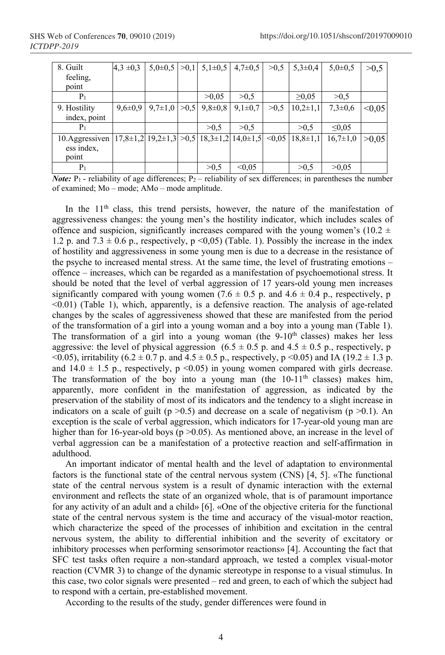| 8. Guilt        | $4.3 \pm 0.3$ | $5.0\pm0.5$   | >0.1 | $5,1\pm0.5$                                                | $4,7 \pm 0.5$ | >0.5   | $5,3 \pm 0,4$  | $5,0{\pm}0.5$  | >0,5   |
|-----------------|---------------|---------------|------|------------------------------------------------------------|---------------|--------|----------------|----------------|--------|
| feeling,        |               |               |      |                                                            |               |        |                |                |        |
| point           |               |               |      |                                                            |               |        |                |                |        |
| P <sub>1</sub>  |               |               |      | >0.05                                                      | >0.5          |        | $\geq 0.05$    | >0.5           |        |
| 9. Hostility    | $9,6 \pm 0.9$ | $9,7{\pm}1,0$ | >0.5 | $9,8 \pm 0.8$                                              | $9,1\pm0.7$   | >0.5   | $10,2{\pm}1,1$ | $7.3 \pm 0.6$  | < 0.05 |
| index, point    |               |               |      |                                                            |               |        |                |                |        |
| P <sub>1</sub>  |               |               |      | >0.5                                                       | >0.5          |        | >0.5           | $\leq 0.05$    |        |
| 10. Aggressiven |               |               |      | $17,8\pm1,2$ $19,2\pm1,3$ $>0,5$ $18,3\pm1,2$ $14,0\pm1,5$ |               | < 0.05 | $18,8 \pm 1,1$ | $16,7{\pm}1,0$ | >0.05  |
| ess index,      |               |               |      |                                                            |               |        |                |                |        |
| point           |               |               |      |                                                            |               |        |                |                |        |
| P <sub>1</sub>  |               |               |      | >0.5                                                       | < 0.05        |        | >0.5           | >0.05          |        |

*Note:*  $P_1$  - reliability of age differences;  $P_2$  – reliability of sex differences; in parentheses the number of examined; Мо – mode; АМо – mode amplitude.

In the 11<sup>th</sup> class, this trend persists, however, the nature of the manifestation of aggressiveness changes: the young men's the hostility indicator, which includes scales of offence and suspicion, significantly increases compared with the young women's (10.2  $\pm$ 1.2 p. and  $7.3 \pm 0.6$  p., respectively, p <0,05) (Table. 1). Possibly the increase in the index of hostility and aggressiveness in some young men is due to a decrease in the resistance of the psyche to increased mental stress. At the same time, the level of frustrating emotions – offence – increases, which can be regarded as a manifestation of psychoemotional stress. It should be noted that the level of verbal aggression of 17 years-old young men increases significantly compared with young women (7.6  $\pm$  0.5 p. and 4.6  $\pm$  0.4 p., respectively, p <0.01) (Table 1), which, apparently, is a defensive reaction. The analysis of age-related changes by the scales of aggressiveness showed that these are manifested from the period of the transformation of a girl into a young woman and a boy into a young man (Table 1). The transformation of a girl into a young woman (the  $9-10<sup>th</sup>$  classes) makes her less aggressive: the level of physical aggression  $(6.5 \pm 0.5 \text{ p. and } 4.5 \pm 0.5 \text{ p.},$  respectively, p  $(0.05)$ , irritability  $(6.2 \pm 0.7 \text{ p. and } 4.5 \pm 0.5 \text{ p.},$  respectively,  $p \le 0.05$ ) and IA (19.2  $\pm$  1.3 p.) and 14.0  $\pm$  1.5 p., respectively, p <0.05) in young women compared with girls decrease. The transformation of the boy into a young man (the  $10-11<sup>th</sup>$  classes) makes him, apparently, more confident in the manifestation of aggression, as indicated by the preservation of the stability of most of its indicators and the tendency to a slight increase in indicators on a scale of guilt ( $p > 0.5$ ) and decrease on a scale of negativism ( $p > 0.1$ ). An exception is the scale of verbal aggression, which indicators for 17-year-old young man are higher than for 16-year-old boys (p > 0.05). As mentioned above, an increase in the level of verbal aggression can be a manifestation of a protective reaction and self-affirmation in adulthood.

An important indicator of mental health and the level of adaptation to environmental factors is the functional state of the central nervous system (CNS) [4, 5]. «The functional state of the central nervous system is a result of dynamic interaction with the external environment and reflects the state of an organized whole, that is of paramount importance for any activity of an adult and a child» [6]. «One of the objective criteria for the functional state of the central nervous system is the time and accuracy of the visual-motor reaction, which characterize the speed of the processes of inhibition and excitation in the central nervous system, the ability to differential inhibition and the severity of excitatory or inhibitory processes when performing sensorimotor reactions» [4]. Accounting the fact that SFC test tasks often require a non-standard approach, we tested a complex visual-motor reaction (CVMR 3) to change of the dynamic stereotype in response to a visual stimulus. In this case, two color signals were presented – red and green, to each of which the subject had to respond with a certain, pre-established movement.

According to the results of the study, gender differences were found in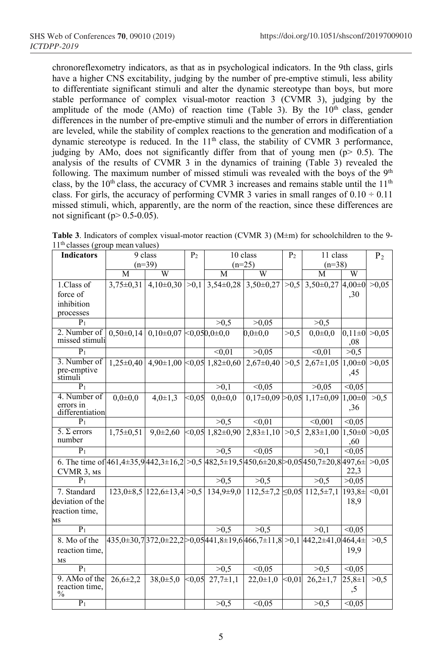chronoreflexometry indicators, as that as in psychological indicators. In the 9th class, girls have a higher CNS excitability, judging by the number of pre-emptive stimuli, less ability to differentiate significant stimuli and alter the dynamic stereotype than boys, but more stable performance of complex visual-motor reaction 3 (CVMR 3), judging by the amplitude of the mode (AMo) of reaction time (Table 3). By the  $10<sup>th</sup>$  class, gender differences in the number of pre-emptive stimuli and the number of errors in differentiation are leveled, while the stability of complex reactions to the generation and modification of a dynamic stereotype is reduced. In the 11<sup>th</sup> class, the stability of CVMR 3 performance, judging by AMo, does not significantly differ from that of young men ( $p$  > 0.5). The analysis of the results of CVMR 3 in the dynamics of training (Table 3) revealed the following. The maximum number of missed stimuli was revealed with the boys of the  $9<sup>th</sup>$ class, by the 10<sup>th</sup> class, the accuracy of CVMR 3 increases and remains stable until the 11<sup>th</sup> class. For girls, the accuracy of performing CVMR 3 varies in small ranges of  $0.10 \div 0.11$ missed stimuli, which, apparently, are the norm of the reaction, since these differences are not significant ( $p > 0.5-0.05$ ).

**Table 3**. Indicators of complex visual-motor reaction (CVMR 3) (М±m) for schoolchildren to the 9-  $11<sup>th</sup>$  classes (group mean values)

| <b>Indicators</b>                                                                                                                                                                                                                                       |                           | 9 class<br>P <sub>2</sub><br>10 class                                                                    |        |                                    | P <sub>2</sub>    | 11 class |                                     | $P_2$         |        |
|---------------------------------------------------------------------------------------------------------------------------------------------------------------------------------------------------------------------------------------------------------|---------------------------|----------------------------------------------------------------------------------------------------------|--------|------------------------------------|-------------------|----------|-------------------------------------|---------------|--------|
|                                                                                                                                                                                                                                                         |                           | $(n=39)$                                                                                                 |        | $(n=25)$                           |                   |          | $(n=38)$                            |               |        |
|                                                                                                                                                                                                                                                         | M                         | $\overline{W}$                                                                                           |        | M                                  | W                 |          | M                                   | W             |        |
| 1.Class of                                                                                                                                                                                                                                              | $3.75 \pm 0.31$           | $4.10\pm0.30$ $>0.1$                                                                                     |        | $3,54\pm0,28$ 3,50 $\pm0,27$       |                   | >0.5     | $3,50\pm0,27$ 4,00 $\pm0$           |               | >0.05  |
| force of                                                                                                                                                                                                                                                |                           |                                                                                                          |        |                                    |                   |          |                                     | ,30           |        |
| inhibition                                                                                                                                                                                                                                              |                           |                                                                                                          |        |                                    |                   |          |                                     |               |        |
| processes                                                                                                                                                                                                                                               |                           |                                                                                                          |        |                                    |                   |          |                                     |               |        |
| $P_1$                                                                                                                                                                                                                                                   |                           |                                                                                                          |        | >0.5                               | >0.05             |          | >0.5                                |               |        |
| 2. Number of                                                                                                                                                                                                                                            | $0,50\pm0,14$             | $0,10\pm0,07$ < 0.050,0 $\pm0,0$                                                                         |        |                                    | $0.0 \pm 0.0$     | >0.5     | $0.0 + 0.0$                         | $0,11\pm0$    | >0,05  |
| missed stimuli                                                                                                                                                                                                                                          |                           |                                                                                                          |        |                                    |                   |          |                                     | ,08           |        |
| $P_1$                                                                                                                                                                                                                                                   |                           |                                                                                                          |        | < 0.01                             | >0,05             |          | < 0.01                              | >0.5          |        |
| 3. Number of                                                                                                                                                                                                                                            | $1.25 \pm 0.40$           |                                                                                                          |        | $4,90\pm1,00$ < 0.05 $1,82\pm0,60$ | $2,67 \pm 0,40$   | >0.5     | $2,67 \pm 1,05$                     | $1,00\pm 0$   | >0,05  |
| pre-emptive<br>stimuli                                                                                                                                                                                                                                  |                           |                                                                                                          |        |                                    |                   |          |                                     | ,45           |        |
| $P_1$                                                                                                                                                                                                                                                   |                           |                                                                                                          |        | >0,1                               | < 0.05            |          | >0.05                               | < 0.05        |        |
| 4. Number of                                                                                                                                                                                                                                            |                           |                                                                                                          | < 0.05 |                                    |                   |          |                                     |               |        |
| errors in                                                                                                                                                                                                                                               | $0.0 + 0.0$               | $4.0 \pm 1.3$                                                                                            |        | $0.0 + 0.0$                        |                   |          | $0.17\pm0.09 > 0.05$ 1.17 $\pm0.09$ | $1.00 \pm 0$  | >0.5   |
| differentiation                                                                                                                                                                                                                                         |                           |                                                                                                          |        |                                    |                   |          |                                     | .36           |        |
| $\overline{P_1}$                                                                                                                                                                                                                                        |                           |                                                                                                          |        | >0.5                               | $\overline{0.01}$ |          | < 0,001                             | < 0.05        |        |
| 5. $\Sigma$ errors                                                                                                                                                                                                                                      | $\overline{1,75\pm 0,51}$ | $9.0 \pm 2.60$                                                                                           |        | $< 0.05$ 1,82 $\pm 0.90$           | $2,83\pm1,10$     | >0,5     | $2,83\pm1,00$ 1,50 $\pm0$           |               | >0.05  |
| number                                                                                                                                                                                                                                                  |                           |                                                                                                          |        |                                    |                   |          |                                     | ,60           |        |
| $\overline{P_1}$                                                                                                                                                                                                                                        |                           |                                                                                                          |        | >0.5                               | $\sqrt{0.05}$     |          | >0.1                                | $\sqrt{0.05}$ |        |
| 6. The time of $ 461,4\pm 35,9 442,3\pm 16,2  > 0.5 482,5\pm 19,5 450,6\pm 20,8  > 0.05 450,7\pm 20,8 497,6\pm 10,6\pm 10,6\pm 10,6\pm 10,6\pm 10,6\pm 10,6\pm 10,6\pm 10,6\pm 10,6\pm 10,6\pm 10,6\pm 10,6\pm 10,6\pm 10,6\pm 10,6\pm 10,6\pm 10,6\pm$ |                           |                                                                                                          |        |                                    |                   |          |                                     |               | >0.05  |
| CVMR 3, MS                                                                                                                                                                                                                                              |                           |                                                                                                          |        |                                    |                   |          |                                     | 22,3          |        |
| $P_1$                                                                                                                                                                                                                                                   |                           |                                                                                                          |        | >0,5                               | >0,5              |          | >0.5                                | >0.05         |        |
| 7. Standard                                                                                                                                                                                                                                             |                           | $123.0\pm8.5$ $ 122.6\pm13.4 $ > 0.5 $ 134.9\pm9.0 $ $ 112.5\pm7.2 $ $\leq 0.05$ $ 112.5\pm7.1 $         |        |                                    |                   |          |                                     | 193,8±        | < 0.01 |
| deviation of the                                                                                                                                                                                                                                        |                           |                                                                                                          |        |                                    |                   |          |                                     | 18,9          |        |
| reaction time,                                                                                                                                                                                                                                          |                           |                                                                                                          |        |                                    |                   |          |                                     |               |        |
| MS                                                                                                                                                                                                                                                      |                           |                                                                                                          |        |                                    |                   |          |                                     |               |        |
| $P_1$                                                                                                                                                                                                                                                   |                           |                                                                                                          |        | >0.5                               | >0.5              |          | >0.1                                | < 0.05        |        |
| 8. Mo of the                                                                                                                                                                                                                                            |                           | $435,0\pm30,7]$ $372,0\pm22,2$ $>0,05$ $441,8\pm19,6]$ $466,7\pm11,8$ $>0,1$ $ 442,2\pm41,0 $ $464,4\pm$ |        |                                    |                   |          |                                     |               | >0.5   |
| reaction time,                                                                                                                                                                                                                                          |                           |                                                                                                          |        |                                    |                   |          |                                     | 19,9          |        |
| MS                                                                                                                                                                                                                                                      |                           |                                                                                                          |        |                                    |                   |          |                                     |               |        |
| $P_1$                                                                                                                                                                                                                                                   |                           |                                                                                                          |        | >0,5                               | < 0.05            |          | >0,5                                | $\leq 0.05$   |        |
| 9. AMo of the                                                                                                                                                                                                                                           | $26.6 \pm 2.2$            | $38.0 \pm 5.0$                                                                                           | < 0.05 | $27.7 \pm 1.1$                     | $22,0+1,0$        | $0.01$   | $26,2{\pm}1,7$                      | $25,8 \pm 1$  | >0.5   |
| reaction time,<br>$\frac{0}{0}$                                                                                                                                                                                                                         |                           |                                                                                                          |        |                                    |                   |          |                                     | ,5            |        |
| $P_1$                                                                                                                                                                                                                                                   |                           |                                                                                                          |        | >0.5                               | < 0.05            |          | >0.5                                | < 0.05        |        |
|                                                                                                                                                                                                                                                         |                           |                                                                                                          |        |                                    |                   |          |                                     |               |        |